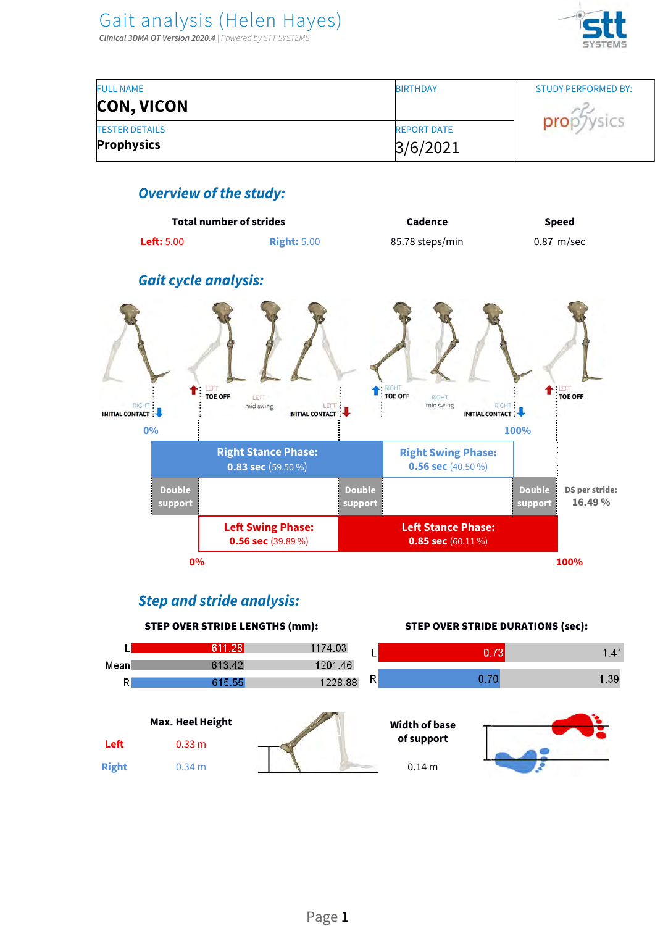

| <b>FULL NAME</b>      | <b>BIRTHDAY</b>    | STUDY PERFORMED BY: |
|-----------------------|--------------------|---------------------|
| <b>CON, VICON</b>     |                    |                     |
| <b>TESTER DETAILS</b> | <b>REPORT DATE</b> | prop                |
| <b>Prophysics</b>     | 3/6/2021           |                     |

### **Overview of the study:**



### **Step and stride analysis:**

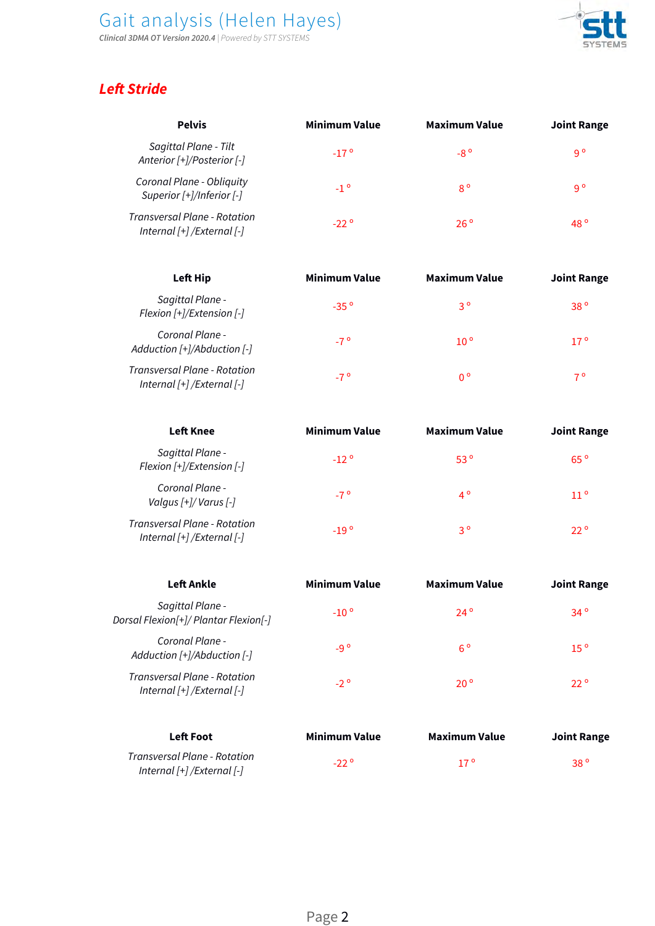**Clinical 3DMA OT Version 2020.4** | Powered by STT SYSTEMS



## **Left Stride**

| <b>Pelvis</b>                                                     | <b>Minimum Value</b> | <b>Maximum Value</b> | <b>Joint Range</b> |
|-------------------------------------------------------------------|----------------------|----------------------|--------------------|
| Sagittal Plane - Tilt<br>Anterior [+]/Posterior [-]               | $-17o$               | $-8^\circ$           | 9°                 |
| Coronal Plane - Obliquity<br>Superior [+]/Inferior [-]            | $-1$ $^{\circ}$      | $8^{\circ}$          | 9 °                |
| <b>Transversal Plane - Rotation</b><br>Internal [+] /External [-] | $-22°$               | $26^\circ$           | 48 $^{\circ}$      |

| <b>Left Hip</b>                                                    | <b>Minimum Value</b> | <b>Maximum Value</b> | <b>Joint Range</b> |
|--------------------------------------------------------------------|----------------------|----------------------|--------------------|
| Sagittal Plane -<br>Flexion [+]/Extension [-]                      | $-35°$               | $3^{\circ}$          | 38 <sup>o</sup>    |
| Coronal Plane -<br>Adduction [+]/Abduction [-]                     | $-7^{\circ}$         | 10 <sup>o</sup>      | 17 <sup>o</sup>    |
| Transversal Plane - Rotation<br>Internal $[+]$ /External $[$ - $]$ | $-7^{\circ}$         | $0^{\circ}$          | $7^{\circ}$        |

| <b>Left Knee</b>                                                                              | <b>Minimum Value</b> | <b>Maximum Value</b> | <b>Joint Range</b> |
|-----------------------------------------------------------------------------------------------|----------------------|----------------------|--------------------|
| Sagittal Plane -<br>Flexion [+]/Extension [-]                                                 | $-12^{\circ}$        | 53 <sup>o</sup>      | $65^{\circ}$       |
| Coronal Plane -<br>Valgus [+]/ Varus [-]                                                      | $-7^{\circ}$         | $4^{\circ}$          | 11 <sup>o</sup>    |
| Transversal Plane - Rotation<br>$\frac{1}{2}$ Internal $\frac{1}{2}$ / External $\frac{1}{2}$ | $-19^{\circ}$        | $3^{\circ}$          | $22^{\circ}$       |

| <b>Left Ankle</b>                                                  | <b>Minimum Value</b> | <b>Maximum Value</b> | <b>Joint Range</b> |
|--------------------------------------------------------------------|----------------------|----------------------|--------------------|
| Sagittal Plane -<br>Dorsal Flexion[+]/ Plantar Flexion[-]          | $-10o$               | $24^{\circ}$         | $34^\circ$         |
| Coronal Plane -<br>Adduction $[+]$ /Abduction $[-]$                | $-9o$                | $6^{\circ}$          | 15 <sup>o</sup>    |
| <b>Transversal Plane - Rotation</b><br>Internal [+] / External [-] | $-2^{\circ}$         | $20^{\circ}$         | $22^{\circ}$       |

| <b>Left Foot</b>                                                   | Minimum Value | Maximum Value   | Joint Range     |
|--------------------------------------------------------------------|---------------|-----------------|-----------------|
| Transversal Plane - Rotation<br>Internal $[+]$ /External $[$ - $]$ | $-22^{\circ}$ | 17 <sup>o</sup> | 38 <sup>°</sup> |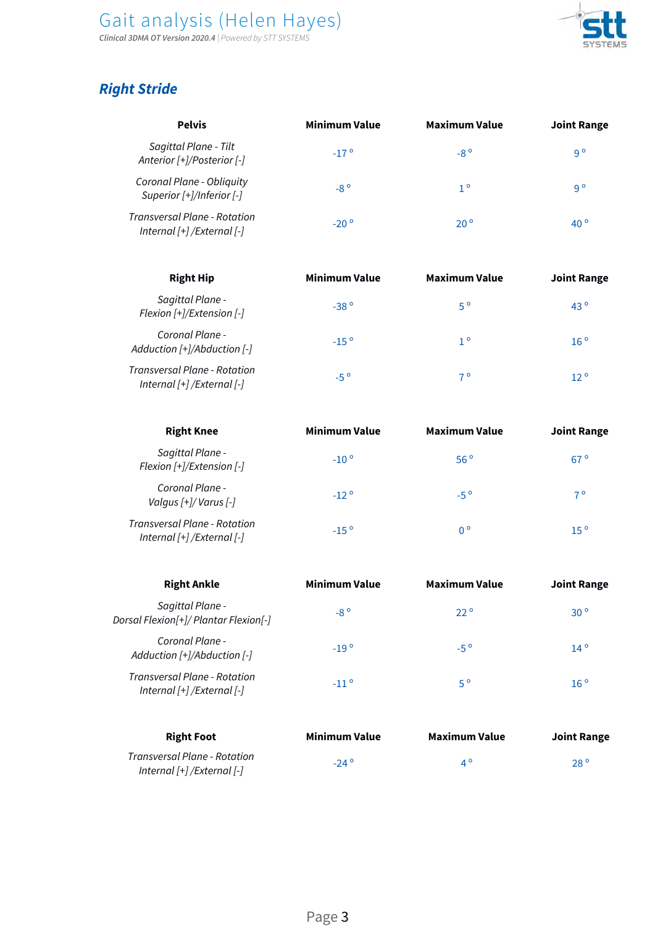#### Gait analysis (Helen Hayes) **Clinical 3DMA OT Version 2020.4** | Powered by STT SYSTEMS



## **Right Stride**

| <b>Pelvis</b>                                                      | <b>Minimum Value</b> | <b>Maximum Value</b> | <b>Joint Range</b> |
|--------------------------------------------------------------------|----------------------|----------------------|--------------------|
| Sagittal Plane - Tilt<br>Anterior [+]/Posterior [-]                | $-17o$               | $-8^\circ$           | $9^{\circ}$        |
| Coronal Plane - Obliquity<br>Superior [+]/Inferior [-]             | $-8^\circ$           | $1^{\circ}$          | $9^{\circ}$        |
| Transversal Plane - Rotation<br>Internal $[+]$ /External $[$ - $]$ | $-20^\circ$          | $20^{\circ}$         | 40 $^{\circ}$      |

| <b>Right Hip</b>                                                   | <b>Minimum Value</b> | <b>Maximum Value</b> | <b>Joint Range</b> |
|--------------------------------------------------------------------|----------------------|----------------------|--------------------|
| Sagittal Plane -<br>Flexion [+]/Extension [-]                      | $-38°$               | $5^{\circ}$          | $43^{\circ}$       |
| Coronal Plane -<br>Adduction $[+]$ /Abduction $[-]$                | $-15^{\circ}$        | $1^{\circ}$          | 16 <sup>o</sup>    |
| Transversal Plane - Rotation<br>Internal $[+]$ /External $[$ - $]$ | $-5^\circ$           | 7 º                  | 12 <sup>o</sup>    |

| <b>Right Knee</b>                                                    | <b>Minimum Value</b> | <b>Maximum Value</b> | <b>Joint Range</b> |
|----------------------------------------------------------------------|----------------------|----------------------|--------------------|
| Sagittal Plane -<br>Flexion [+]/Extension [-]                        | $-10o$               | 56 <sup>o</sup>      | $67^{\circ}$       |
| Coronal Plane -<br>Valgus $\lceil + \rceil$ /Varus $\lceil - \rceil$ | $-12^{\circ}$        | $-5^{\circ}$         | $7^{\circ}$        |
| Transversal Plane - Rotation<br>Internal [+] /External [-]           | $-15^{\circ}$        | $0^{\circ}$          | 15 <sup>o</sup>    |

| <b>Right Ankle</b>                                                 | <b>Minimum Value</b> | <b>Maximum Value</b> | <b>Joint Range</b> |
|--------------------------------------------------------------------|----------------------|----------------------|--------------------|
| Sagittal Plane -<br>Dorsal Flexion[+]/ Plantar Flexion[-]          | $-8^\circ$           | $22^{\circ}$         | 30 <sup>o</sup>    |
| Coronal Plane -<br>Adduction $[+]$ /Abduction $[-]$                | $-19°$               | $-5^{\circ}$         | $14^{\circ}$       |
| <b>Transversal Plane - Rotation</b><br>Internal [+] / External [-] | $-11^{\circ}$        | $5^{\circ}$          | 16 <sup>o</sup>    |

| <b>Right Foot</b>                                                  | Minimum Value | Maximum Value | Joint Range  |
|--------------------------------------------------------------------|---------------|---------------|--------------|
| Transversal Plane - Rotation<br>Internal $[+]$ /External $[$ - $]$ | $-24^{\circ}$ | ⊿ ⊂           | $28^{\circ}$ |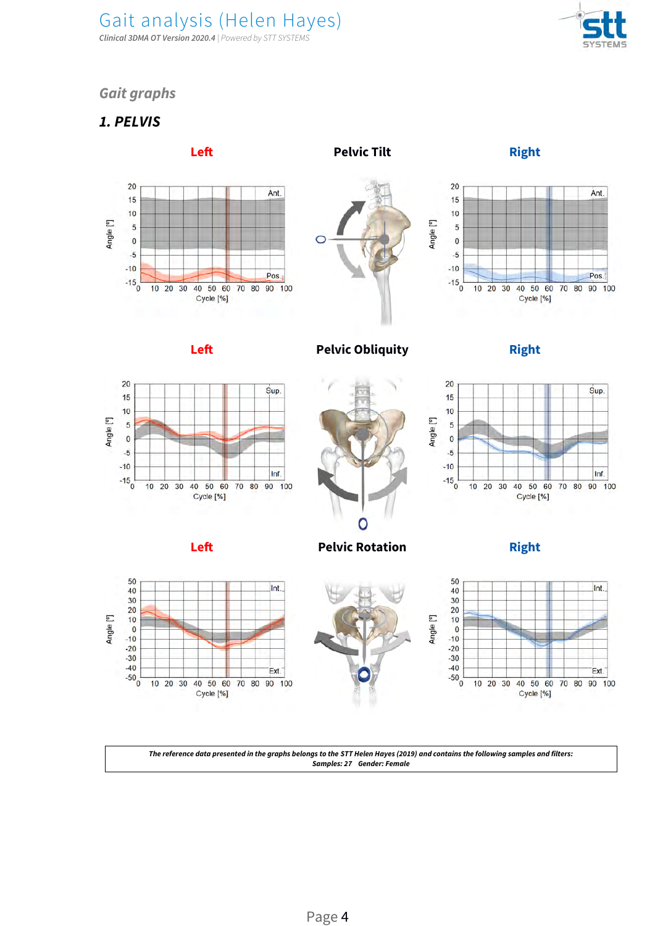Gait analysis (Helen Hayes) **Clinical 3DMA OT Version 2020.4** | Powered by STT SYSTEMS



### **Gait graphs**

### **1. PELVIS**

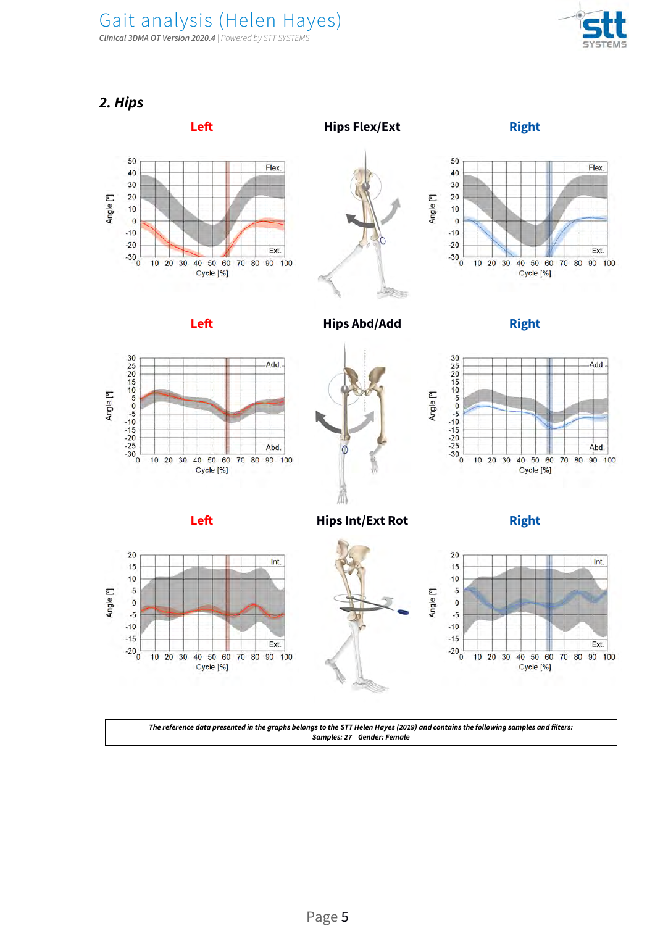**Clinical 3DMA OT Version 2020.4** | Powered by STT SYSTEMS



**2. Hips**

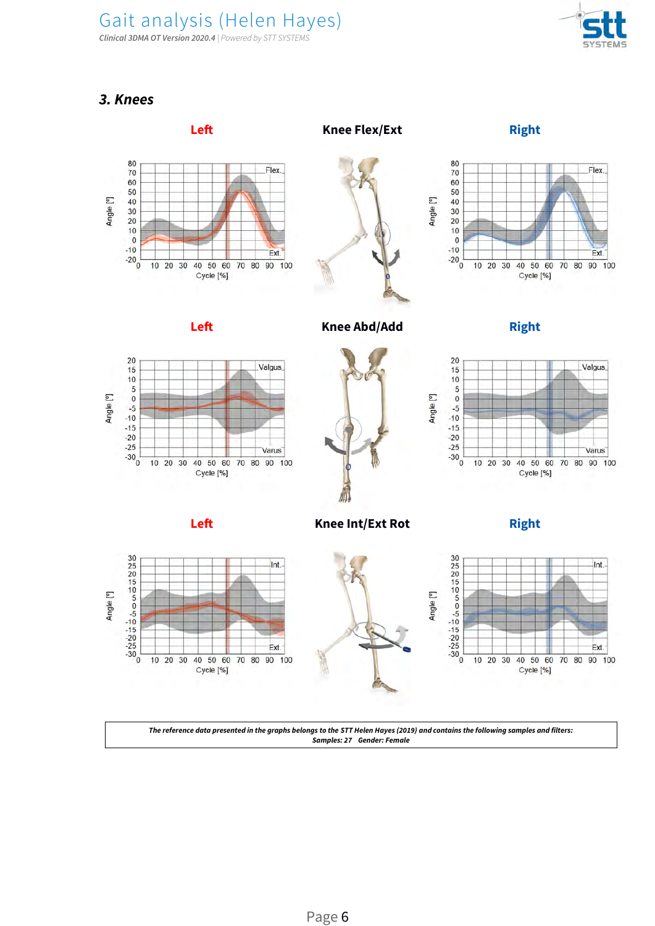Gait analysis (Helen Hayes) **Clinical 3DMA OT Version 2020.4** | Powered by STT SYSTEMS



#### **3. Knees**

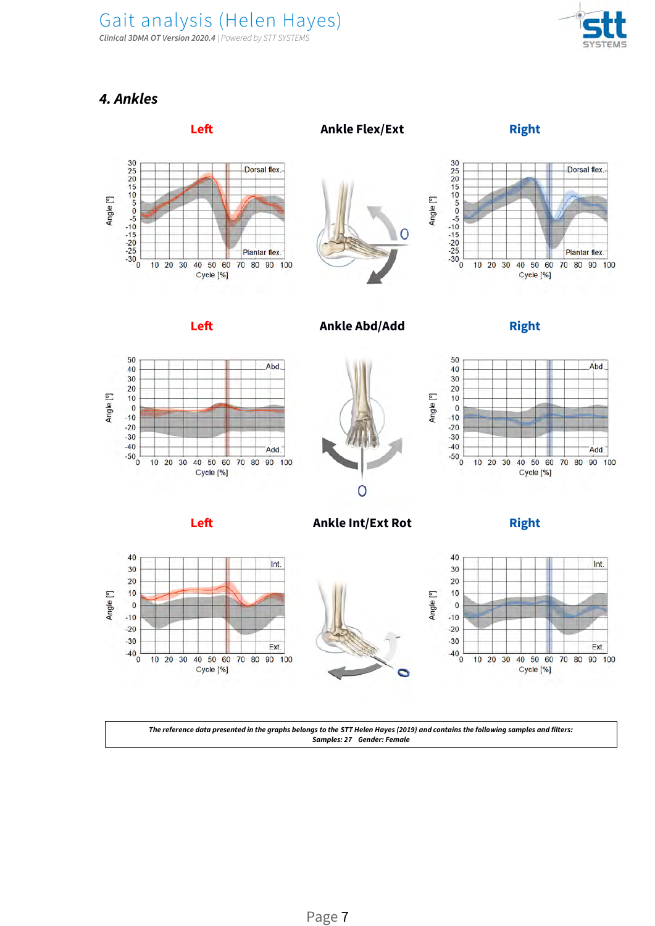**Clinical 3DMA OT Version 2020.4** | Powered by STT SYSTEMS



### **4. Ankles**

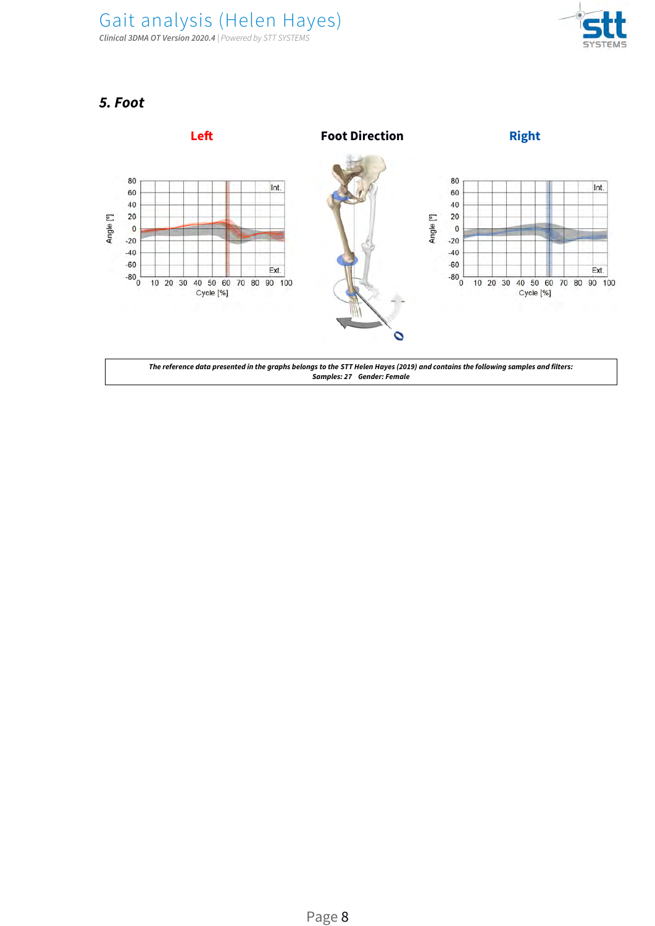



### **5. Foot**

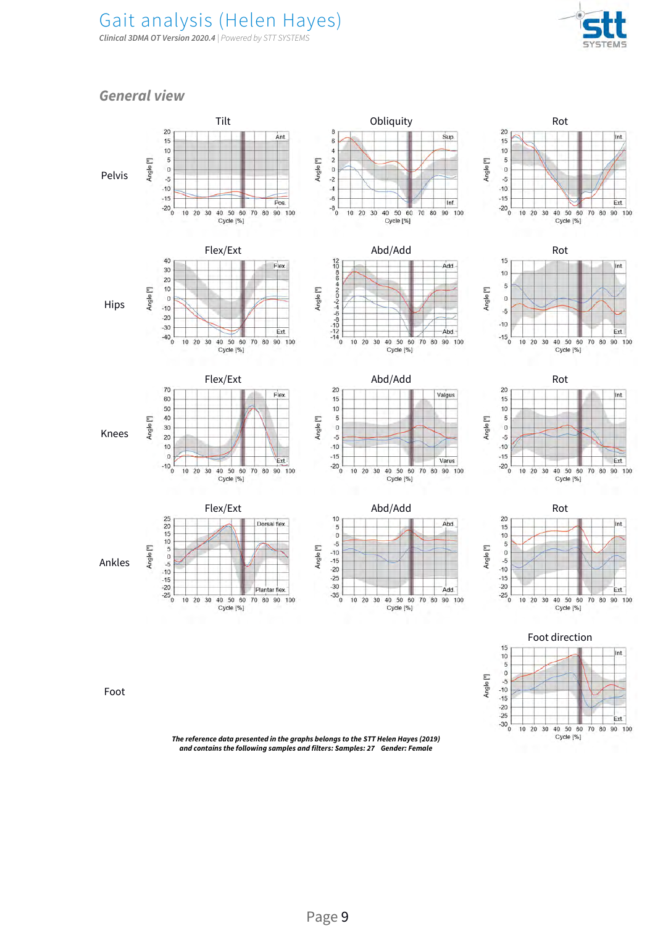**Clinical 3DMA OT Version 2020.4** | Powered by STT SYSTEMS



Cycle [%]

#### **General view**

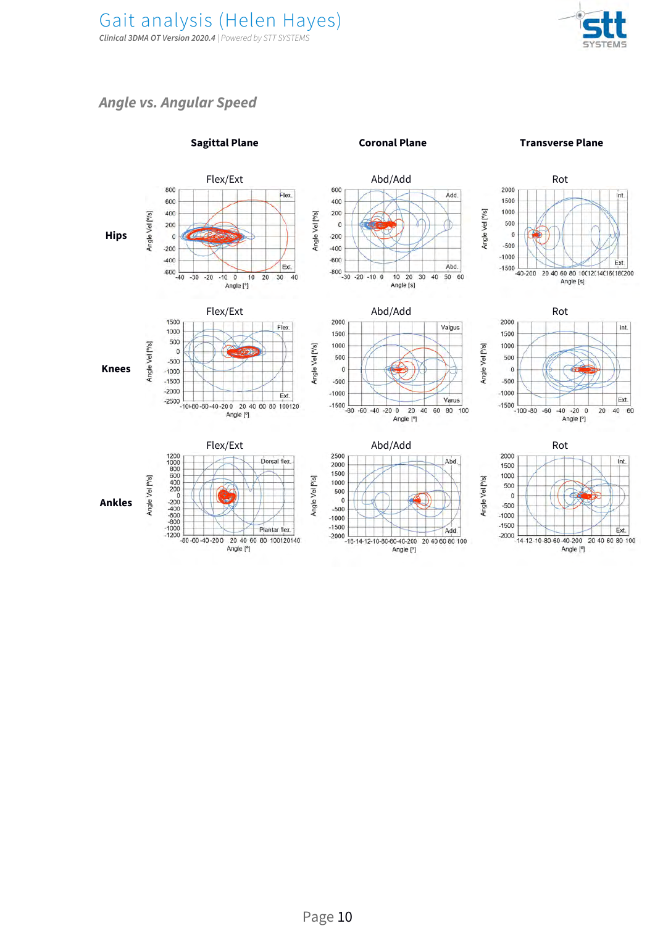

### **Angle vs. Angular Speed**



#### Page 10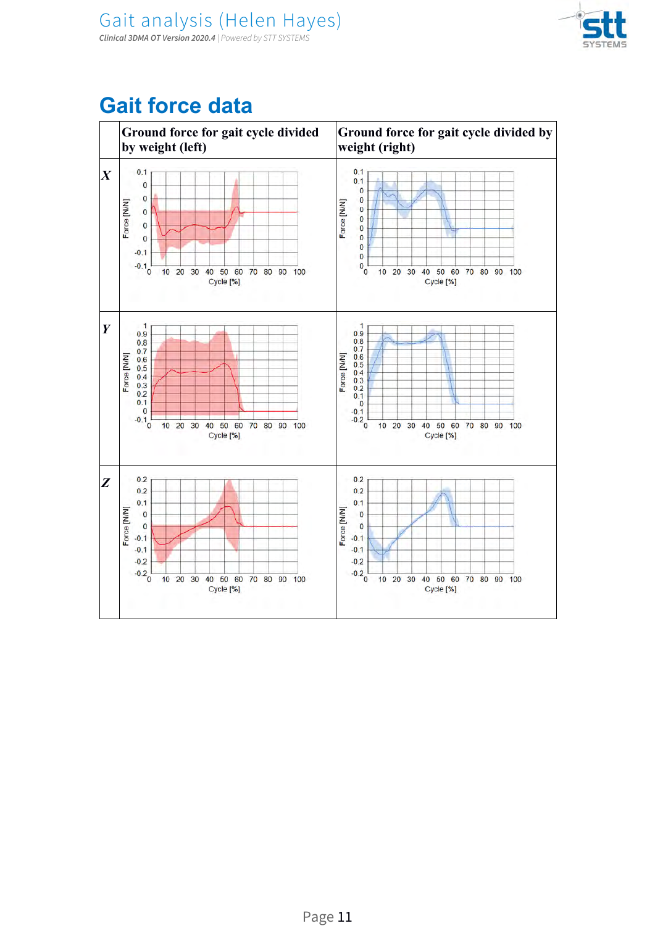

## **Gait force data**

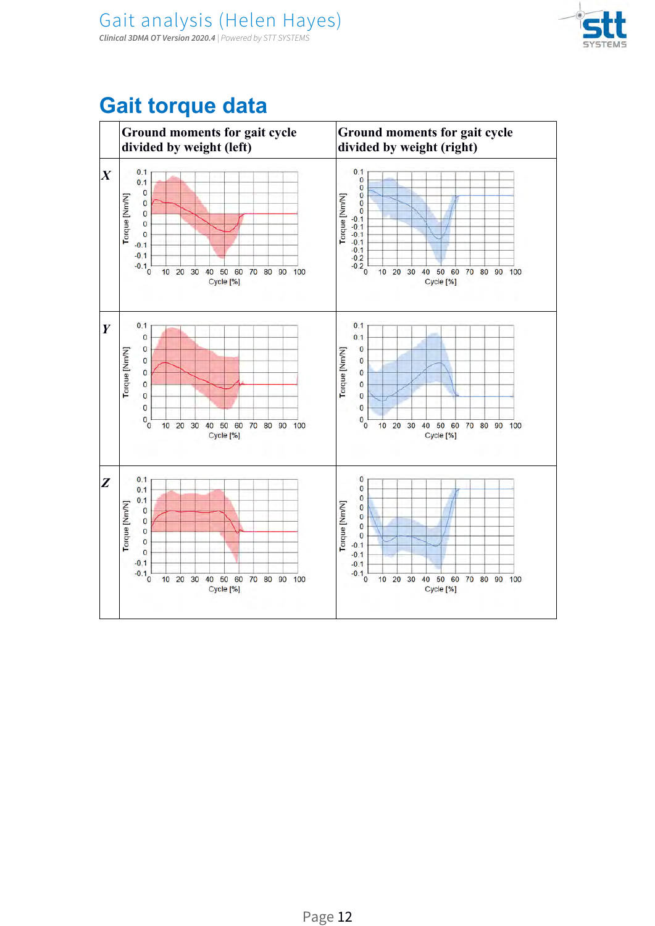

## **Gait torque data**

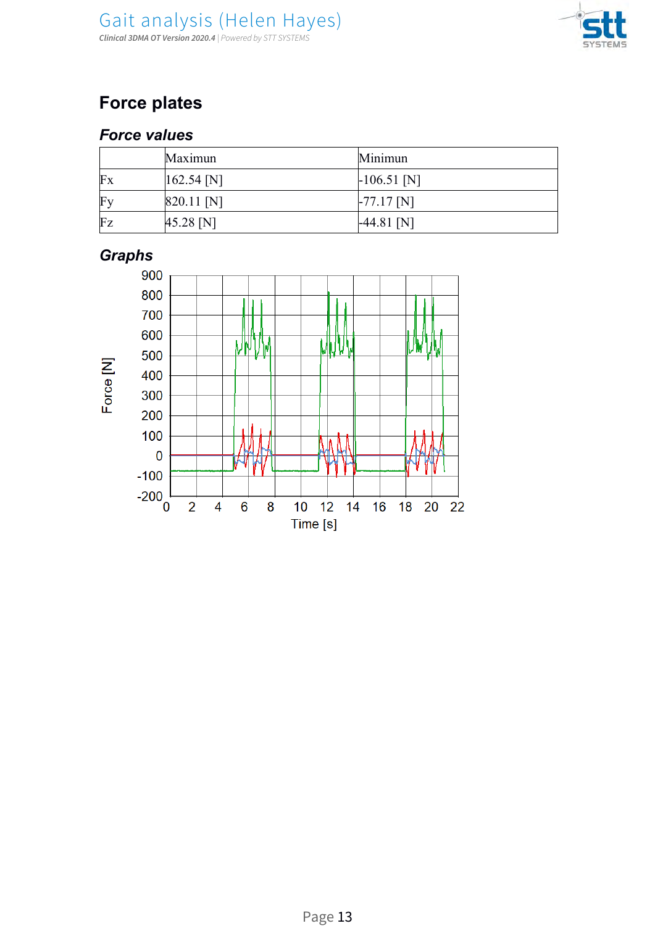

## *Force values*

|    | Maximun        | Minimun       |
|----|----------------|---------------|
| Fx | $[162.54]$ [N] | $-106.51$ [N] |
| Fy | $[820.11]$ [N] | $-77.17$ [N]  |
| Fz | 45.28 N        | $-44.81$ [N]  |

## *Graphs*

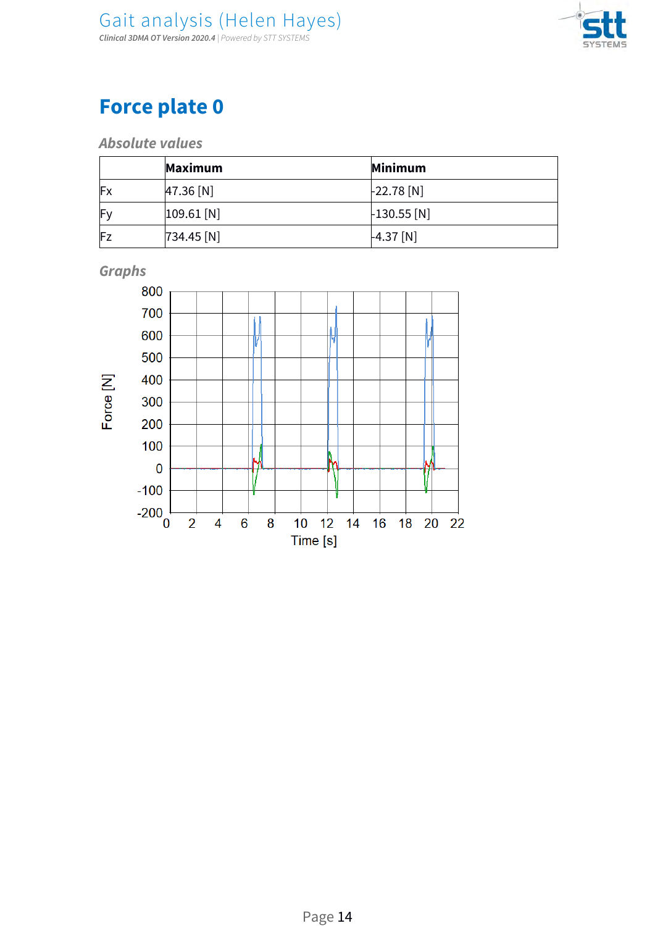

**Absolute values**

|     | Maximum      | Minimum             |
|-----|--------------|---------------------|
| Fx  | 47.36 [N]    | $-22.78$ [N]        |
| IF۷ | 109.61 N     | $\vert$ -130.55 [N] |
| Fz  | $734.45$ [N] | $-4.37$ [N]         |



**Graphs**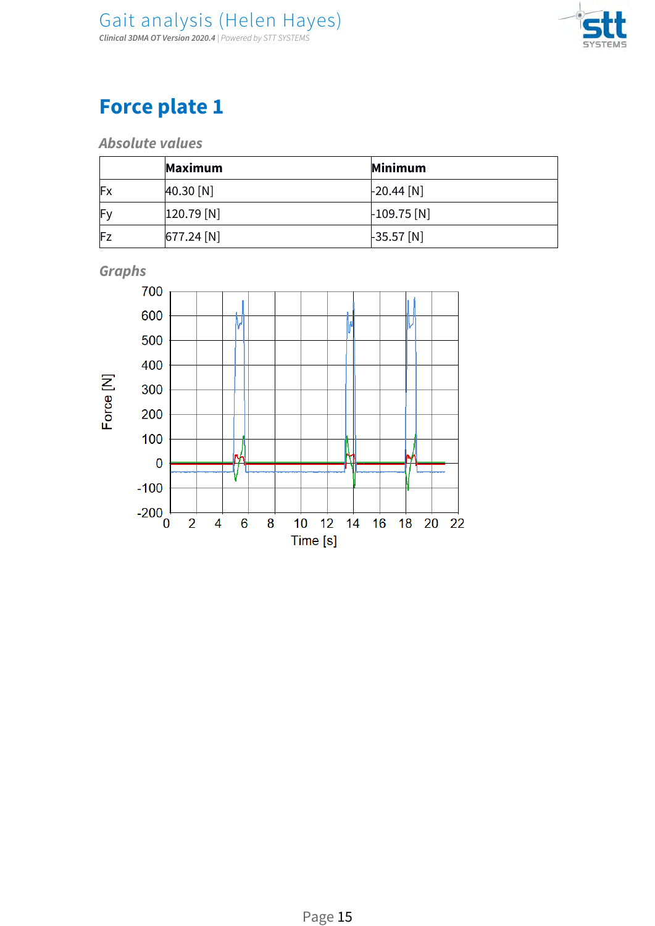

**Absolute values**

|    | Maximum          | Minimum             |
|----|------------------|---------------------|
| Fx | $40.30$ [N]      | $\vert$ -20.44 [N]  |
| Fy | $[120.79]$ $[N]$ | $\vert$ -109.75 [N] |
| Fz | $677.24$ [N]     | $-35.57$ [N]        |

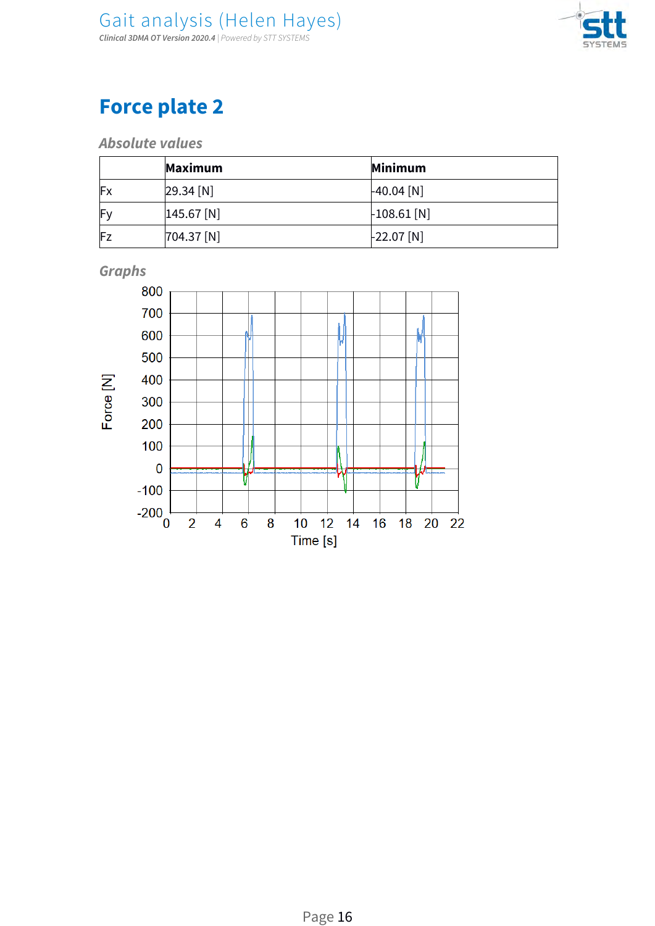

**Absolute values**

|    | Maximum       | <b>Minimum</b>      |
|----|---------------|---------------------|
| Fx | $29.34 \,[N]$ | $-40.04$ [N]        |
| Fy | $145.67$ [N]  | $\vert$ -108.61 [N] |
| Fz | $[704.37$ [N] | $-22.07$ [N]        |



**Graphs**